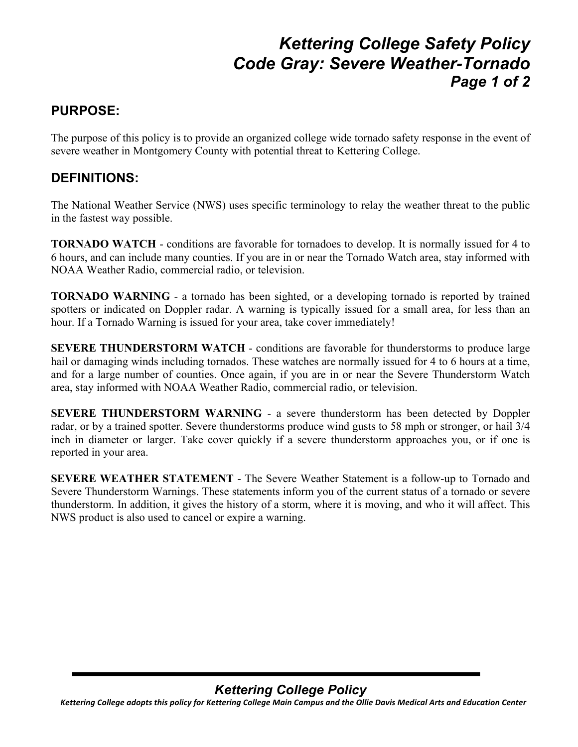## *Kettering College Safety Policy Code Gray: Severe Weather-Tornado Page 1 of 2*

## **PURPOSE:**

The purpose of this policy is to provide an organized college wide tornado safety response in the event of severe weather in Montgomery County with potential threat to Kettering College.

### **DEFINITIONS:**

The National Weather Service (NWS) uses specific terminology to relay the weather threat to the public in the fastest way possible.

**TORNADO WATCH** - conditions are favorable for tornadoes to develop. It is normally issued for 4 to 6 hours, and can include many counties. If you are in or near the Tornado Watch area, stay informed with NOAA Weather Radio, commercial radio, or television.

**TORNADO WARNING** - a tornado has been sighted, or a developing tornado is reported by trained spotters or indicated on Doppler radar. A warning is typically issued for a small area, for less than an hour. If a Tornado Warning is issued for your area, take cover immediately!

**SEVERE THUNDERSTORM WATCH** - conditions are favorable for thunderstorms to produce large hail or damaging winds including tornados. These watches are normally issued for 4 to 6 hours at a time, and for a large number of counties. Once again, if you are in or near the Severe Thunderstorm Watch area, stay informed with NOAA Weather Radio, commercial radio, or television.

**SEVERE THUNDERSTORM WARNING** - a severe thunderstorm has been detected by Doppler radar, or by a trained spotter. Severe thunderstorms produce wind gusts to 58 mph or stronger, or hail 3/4 inch in diameter or larger. Take cover quickly if a severe thunderstorm approaches you, or if one is reported in your area.

**SEVERE WEATHER STATEMENT** - The Severe Weather Statement is a follow-up to Tornado and Severe Thunderstorm Warnings. These statements inform you of the current status of a tornado or severe thunderstorm. In addition, it gives the history of a storm, where it is moving, and who it will affect. This NWS product is also used to cancel or expire a warning.

## *Kettering College Policy*

Kettering College adopts this policy for Kettering College Main Campus and the Ollie Davis Medical Arts and Education Center